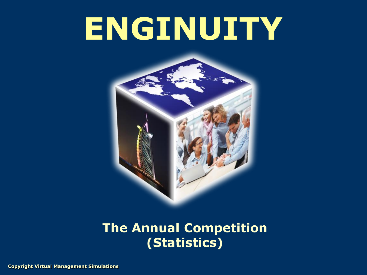# **ENGINUITY**



### **The Annual Competition (Statistics)**

**Copyright Virtual Management Simulations**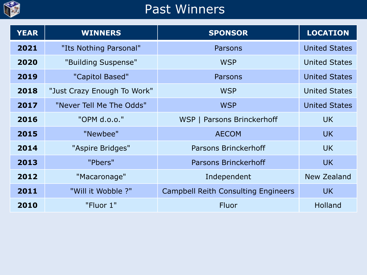

## Past Winners

| <b>YEAR</b> | <b>WINNERS</b>              | <b>SPONSOR</b>                             | <b>LOCATION</b>      |
|-------------|-----------------------------|--------------------------------------------|----------------------|
| 2021        | "Its Nothing Parsonal"      | Parsons                                    | <b>United States</b> |
| 2020        | "Building Suspense"         | <b>WSP</b>                                 | <b>United States</b> |
| 2019        | "Capitol Based"             | Parsons                                    | <b>United States</b> |
| 2018        | "Just Crazy Enough To Work" | <b>WSP</b>                                 | <b>United States</b> |
| 2017        | "Never Tell Me The Odds"    | <b>WSP</b>                                 | <b>United States</b> |
| 2016        | "OPM d.o.o."                | WSP   Parsons Brinckerhoff                 | <b>UK</b>            |
| 2015        | "Newbee"                    | <b>AECOM</b>                               | UK.                  |
| 2014        | "Aspire Bridges"            | Parsons Brinckerhoff                       | UK.                  |
| 2013        | "Pbers"                     | <b>Parsons Brinckerhoff</b>                | <b>UK</b>            |
| 2012        | "Macaronage"                | Independent                                | <b>New Zealand</b>   |
| 2011        | "Will it Wobble ?"          | <b>Campbell Reith Consulting Engineers</b> | <b>UK</b>            |
| 2010        | "Fluor 1"                   | Fluor                                      | <b>Holland</b>       |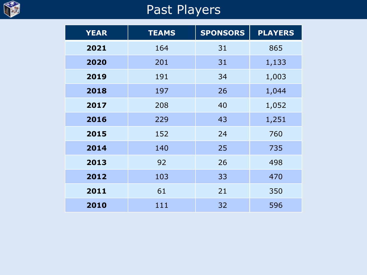

## Past Players

| <b>YEAR</b> | <b>TEAMS</b> | <b>SPONSORS</b> | <b>PLAYERS</b> |
|-------------|--------------|-----------------|----------------|
| 2021        | 164          | 31              | 865            |
| 2020        | 201          | 31              | 1,133          |
| 2019        | 191          | 34              | 1,003          |
| 2018        | 197          | 26              | 1,044          |
| 2017        | 208          | 40              | 1,052          |
| 2016        | 229          | 43              | 1,251          |
| 2015        | 152          | 24              | 760            |
| 2014        | 140          | 25              | 735            |
| 2013        | 92           | 26              | 498            |
| 2012        | 103          | 33              | 470            |
| 2011        | 61           | 21              | 350            |
| 2010        | 111          | 32              | 596            |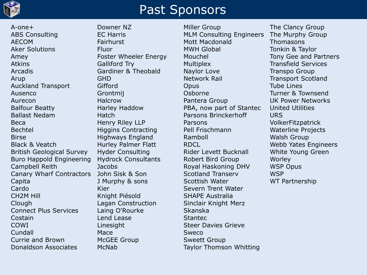

#### Past Sponsors

A-one+ ABS Consulting AECOM Aker Solutions Amey Atkins Arcadis Arup Auckland Transport Ausenco Aurecon Balfour Beatty Ballast Nedam Beca Bechtel Birse Black & Veatch British Geological Survey Buro Happold Engineering Campbell Reith Canary Wharf Contractors Capita Cardo CH2M Hill Clough Connect Plus Services Costain COWI Cundall Currie and Brown Donaldson Associates

Downer NZ EC Harris Fairhurst Fluor Foster Wheeler Energy Galliford Try Gardiner & Theobald GHD Gifford Grontmij Halcrow Harley Haddow **Hatch** Henry Riley LLP Higgins Contracting Highways England Hurley Palmer Flatt Hyder Consulting Hydrock Consultants **Jacobs** John Sisk & Son J Murphy & sons Kier Knight Piésold Lagan Construction Laing O'Rourke Lend Lease Linesight Mace McGEE Group McNab

Miller Group MLM Consulting Engineers Mott Macdonald MWH Global Mouchel **Multiplex** Naylor Love Network Rail **Opus** Osborne Pantera Group PBA, now part of Stantec Parsons Brinckerhoff Parsons Pell Frischmann Ramboll RDCL Rider Levett Bucknall Robert Bird Group Royal Haskoning DHV Scotland Transerv Scottish Water Severn Trent Water SHAPE Australia Sinclair Knight Merz Skanska **Stantec** Steer Davies Grieve Sweco Sweett Group Taylor Thomson Whitting

The Clancy Group The Murphy Group Thomasons Tonkin & Taylor Tony Gee and Partners Transfield Services Transpo Group Transport Scotland Tube Lines Turner & Townsend UK Power Networks United Utilities URS VolkerFitzpatrick Waterline Projects Walsh Group Webb Yates Engineers White Young Green Worley WSP Opus **WSP** WT Partnership